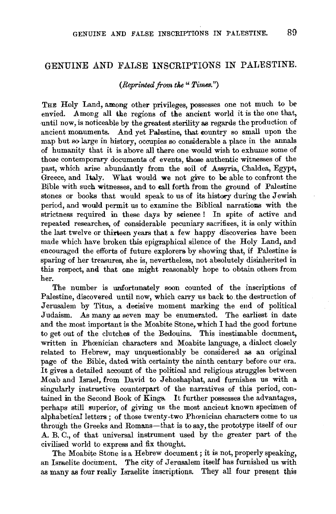## GENUINE AND FALSE INSCRIPTIONS IN PALESTINE.

## *(Reprinted from the* "*Times.*")

THE Holy Land, among other privileges, possesses one not much to be envied. Among all the regions of the ancient world it is the one that, until now, is noticeable by the greatest sterility as regards the production of ancient monuments. And yet Palestine, that eountry so smal1 upon the map but so large in history, occupies so considerable a place in the annals of humanity that it is above all there one would wish to exhume some of those contemporary documents of events, those authentic witnesses of the past, which arise abundantly from the soil of Assyria, Chaldea, Egypt, Greece, and Italy. What would we not give to be able to confront the Bible with such witnesses, and to eaU forth from the ground of Palestine stones or books that would speak to us of its history during the Jewish period, and would permit us to examine the Biblical narrations with the strictness required in these days by seienee ! In spite of active and repeated researches, of considerable pecuniary sacrifices, it is only within the last twelve or thirteen years that a few happy discoveries have been made which have broken this epigraphical silence of the Holy Land, and encouraged the efforts of future explorers by showing that, if Palestine is sparing of her treasures, she is, nevertheless, not absolutely disinherited in this respect, and that one might reasonably hope to obtain others from her.

The number is unfortunately soon counted of the inscriptions of Palestine, discovered until now, which carry us back to. the destruction of Jerusalem by Titus, a deeisive moment marking the end of political Judaism. As many as seven may be enumerated. The earliest in date and the most important is the Moabite Stone, which I had the good fortune to get out of the clutches of the Bedouins. This inestimable document, written in Phœnician characters and Moabite language, a dialect closely related to Hebrew, may unquestionably be considered as an original page of the Bible, dated with certainty the ninth century before our era. It gives a detailed account of the political and religious struggles between Moab and Israel, from David to Jehoshaphat, and furnishes us with a singularly instructive counterpart of the narratives of this period, contained in the Second Book of Kings. It further possesses the advantages, perhaps still superior, of giving us the most ancient known specimen of alphabetical letters; of those twenty-two Phoenician characters come to us through the Greeks and Romans-that is to say, the prototype itself of our A. B. C., of that universal instrument used by the greater part of the civilised world to express and fix thought.

The Moabite Stone is a Hebrew document ; it is not, properly speaking, an Israelite document. The city of Jerusalem itself has furnished us with as many as four really Israelite inscriptions. They all four present this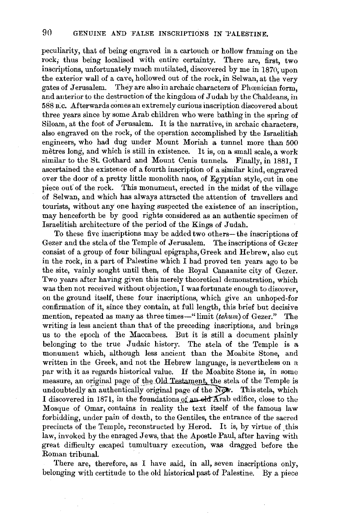peculiarity, that of being engraved in a cartouch or hollow framing on the rock; thus being localised with entire certainty. There are, first, two inscriptions, unfortunately much mutilated, discovered by me in 1870, upon the exterior wall of a cave, hollowed out of the rock, in Selwan, at the very gates of Jerusalem. They are also in archaic characters of Phœnician form, and anterior to the destruction of the kingdom of J udah by the Chaldeans, in 588 B.C. Afterwards comes an extremely curious inscription discovered about three years since by some Arab children who were bathing in the spring of Siloam, at the foot of Jerusalem. It is the narrative, in archaic characters, also engraved on the rock, of the operation accomplished by the Israelitish engineers, who had dug under Mount Moriah a tunnel more than 500 metres long, and which is still in existence. It is, on a small scale, a work similar to the St. Gothard and Mount Cenis tunnels. Finally, in 1881, I ascertained the existence of a fourth inscription of a similar kind, engraved over the door of a pretty little monolith naos, of Egyptian style, cut in one piece out' of the rock. This monument, erected in the midst of the village of Selwan, and which has always attracted the attention of travellers and tourists, without any one baying suspected the existence of an inscription, may henceforth be by good rights considered as an authentic specimen of Israelitish architecture of the period of the Kings of Judah.

To these five inscriptions may be added two others-the inscriptions of Gezer and the stela of the Temple of Jerusalem. The inscriptions of Gezer consist of a group of four bilingual epigraphs, Greek and Hebrew, also cut in the rock, in a part of Palestine which I had proved ten years ago to be the site, vainly sought until then, of the Royal Canaanite city of Gezer. Two years after having given this merely theoretical demonstration, which was then not received without objection, I was fortunate enough to discover, on the ground itself, these four inscriptions, which give an unhoped-for confirmation of it, since they contain, at full length, this brief but decisive mention, repeated as many as three times-"limit *(tehum)* of Gezer." The writing is less ancient than that of the preceding inscriptions, and brings us to the epoch of the Maccabees. But it is still a document plainly belonging to the true Judaic history. The stela of the Temple is a monument which, although less ancient than the Moabite Stone, and written in the Greek, and not the Hebrew language, is nevertheless on a par with it as regards historical value. If the Moabite Stone is, in some measure, an original page of the Old Testament, the stela of the Temple is undoubtedly an authentically original page of the  $N\rightarrow\infty$ . This stela, which I discovered in 1871, in the foundations of an old Arab edifice, close to the Mosque of Omar, contains in reality the text itself of the famous law forbidding, under pain of death, to the Gentiles, the entrance of the sacred precincts of the Temple, reconstructed by Herod. It is, by virtue of this law, invoked by the enraged Jews, that the Apostle Paul, after having with great difficulty escaped tmnultuary execution, was dragged before the Roman tribunal.

There are, therefore, as I have said, in all, seven inscriptions only, belonging with certitude to the old historical past of Palestine. By a piece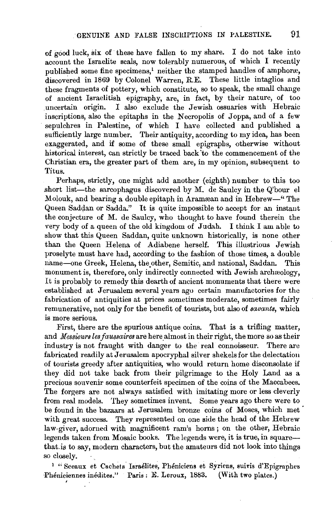of good luck, six: of· these have fallen to my share. I do not take into account the Israelite seals, now tolerably numerous, of which I recently published some fine specimens,<sup>1</sup> neither the stamped handles of amphoræ, discovered in 1869 by Colonel Warren, R.E. These little intaglios and these fragments of pottery, which constitute, so to speak, the small change of ancient Israelitish epigraphy, are, in fact, by their nature, of too uncertain origin. I also exclude the Jewish ossuaries with Hebraic inscriptions, also the epitaphs in the Necropolis of Joppa, and of a few sepulchres in Palestine, of which I have collected and published a sufficiently large number. Their antiquity, according to my idea, has been exaggerated, and if some of these small epigraphs, otherwise without historical interest, can strictly be traced back 'to the commencement of the Christian era, the greater part of them are, in my opinion, subsequent to Titus.

Perhaps, strictly, one might add another (eighth) number to this too short list—the sarcophagus discovered by M. de Saulcy in the Q'bour el Molouk, and bearing a double epitaph in Aramæan and in Hebrew-"The Queen Saddan or Sadda." It is quite impossible to accept for an instant the conjecture of M. de Saulcy, who thought to have found therein the very body of a queen of the old kingdom of Judah. I think I am able to show that this Queen Saddan, quite unknown historically, is none other than the Queen Helena of Adiabene herself. This illustrious Jewish proselyte must have had, according to the fashion of those times, a double name-one Greek, Helena, the other, Semitic, and national, Saddan. This monument is, therefore, only indirectly connected with Jewish archaeology, It is probably to remedy this dearth of ancient monuments that there were established at Jerusalem several years ago certain manufactories for the fabrication of antiquities at prices sometimes moderate, sometimes fairly remunerative, not only for the benefit of tourists, but also of *savants,* which is more serious.

First, there are the spurious antique coins. That is a trifling matter, and *Messieurs les faussaires* are here almost in their right, the more so as their industry is not fraught with danger to the real connoisseur. There are fabricated readily at Jerusalem apocryphal silver shekels for the delectation of tourists greedy after antiquities, who would return home disconsolate if they did not take back from their pilgrimage to the Holy Land as a precious souvenir some counterfeit specimen of the coins of the Maccabees. The forgers are not always satisfied with imitating more or less cleverly from real models. They sometimes invent. Some years ago there were to be found in the bazaars at Jerusalem bronze coins of Moses, which met with great success. They represented on one side the head of the Hebrew law-giver, adorned with magnificent ram's horns; on the other, Hebraic legends taken from Mosaic books. The legends were, it is true, in squarethat. is to say, modern characters, but the amateurs did not look into things so closely.

1 " Sceaux et Cachets Israelites, Pheniciens et Syriens, suivis d'Epigraphes ·Pheniciennes inedites." Paris: E. Leroux, 1883. (With two plates.)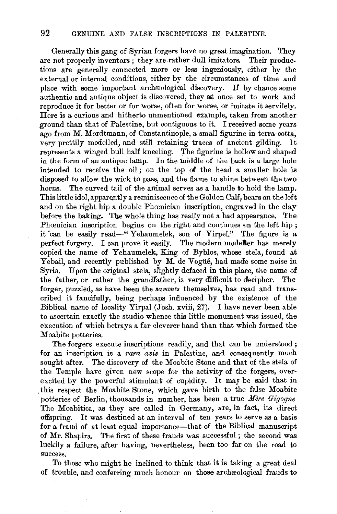Generally this gang of Syrian forgers have no great imagination. They are not properly inventors ; they are rather dull imitators. Their productions are generally connected more or less ingeniously, either by the external or internal conditions, either by the circumstances of time and place with some important archaeological discovery. If by chance some authentic and antique object is discovered, they at once set to work and reproduce it for better or for worse, often for worse, or imitate it servilely. Here is a curious and hitherto unmentioned example, taken from another ground than that of Palestine, but contiguous to it. I received some years ago from M. Mordtmann, of Constantinople, a small figurine in terra-cotta, very prettily modelled, and still retaining traces of ancient gilding. It represents a winged bull half kneeling. The figurine is hollow and shaped in the form of an antique lamp. In the middle of the back is a large hole intended to receive the oil ; on the top of the head a smaller hole is disposed to allow the wick to pass, and the flame to shine between the two horns. The curved tail of the animal serves as a handle to hold the lamp. This little idol, apparently a reminiscence of the Golden Calf, bears on the left and on the right hip a double Phoenician inscription, engraved in the clay before the baking. The whole thing has really not a bad appearance. The Phœnician inscription begins on the right and continues on the left hip; it 'can be easily read-" Yehaumelek, son of Yirpel." The figure is a perfect forgery. I can prove it easily. The modern modeller has merely copied the name of Yehaumelek, King of Byblos, whose stela, found at Yebail, and recently published by M. de Vogüé, had made some noise in Syria. Upon the original stela, siightly defaced in this plaee, the name of the father, or rather the grandfather, is very difficult to decipher. The forger, puzzled, as have been the *savants* themselves, has read and transcribed it fancifully, being perhaps influenced by the existence of the Biblical name of locality Yirpal (Josh. xviii, 27). I have never been able to ascertain exactly the studio whence this little monument was issued, the execution of which betrays a far cleverer hand than that which formed the Moabite potteries,

The forgers execute inscriptions readily, and that can be understood ; for an inscription is a *rara avis* in Palestine, and consequently much sought after. The discovery of the Moabite Stone and that of the stela of the Temple have given new scope for the activity of the forgers, overexcited by the powerful stimulant of cupidity. It may be said that in this respect the Moabite Stone, which gave birth to the false Moabite potteries of Berlin, thousands in number, has been a true Mère Gigogne The Moabitica, as they are called in Germany, are, in fact, its direct offspring. It was destined at an interval of ten years to serve as a basis for a fraud of at least equal importance-that of the Biblical manuscript of Mr. Shapira. The first of these frauds was successful ; the second was luckily a failure, after having, nevertheless, been too far on the road to success.

To those who might he inclined to think that it is taking a great deal of trouble, and conferring much honour on those archreological frauds to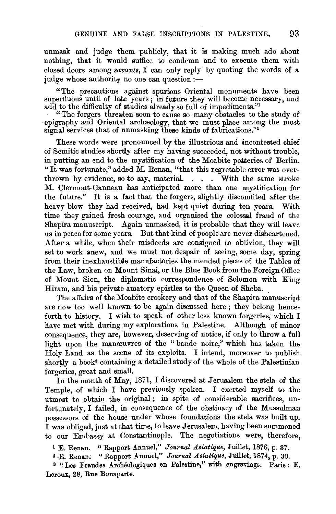unmask and judge them publicly, that it is making much ado about nothing, that it would suffice to condemn and to execute them with closed doors among *savants,* I can only reply by quoting the words of a judge whose authority no one can question :-

"The precautions against spurious Oriental monuments have been superfluous until of late years ; in future they will become necessary, and add to the difficulty of studies already so full of impediments."1

"The forgers threaten soon to cause so many obstacles to the study of epigraphy and Oriental archaeology, that we must place among the most signal services that of unmasking these kinds of fabrications."<sup>2</sup>

These words were pronounced by the illustrious and incontested chief of Semitic studies shortly after my having succeeded, not without trouble, in putting an end to the mystification of the Moabite potteries of Berlin. "It was fortunate," added M. Renan, "that this regretable error was overthrown by evidence, so to say, material.  $\ldots$  . With the same stroke M. Clermont-Ganneau has anticipated more than one mystification for the future." It is a fact that the forgers, slightly discomfited after the heavy blow they had received, had kept quiet during ten years. With time they gained fresh courage, and organised the colossal fraud of the Shapira manuscript. Again unmasked, it is probable that they will leave us in peace for some years. But that kind of people are never disheartened. After a while, when their misdeeds are consigned to oblivion, they will set to work anew, and we must not despair of seeing, some day, spring from their inexhaustible manufactories the mended pieces of the Tables of the Law, broken on Mount Sinai, or the Blue Book from the Foreign Office of Mount Sion, the diplomatic correspondence of Solomon with King Hiram, and his private amatory epistles to the Queen of Sheba.

The affairs of the Moabite crockery and that of the Shapira manuscript are now too well known to be again discussed here ; they belong henceforth to history. I wish to speak of other less known forgeries, which I have met with during my explorations in Palestine. Although of minor consequence, they are, however, deserving of notice, if only to throw a full light upon the manœuvres of the "bande noire," which has taken the Holy Land as the scene of its exploits. I intend, moreover to publish shortly a book<sup>3</sup> containing a detailed study of the whole of the Palestinian forgeries, great and small.

In the month of May, 1871, I discovered at Jerusalem the stela of the Temple, of which I have previously spoken. I exerted myself to the utmost to obtain the original; in spite of considerable sacrifices, unfortunately, I failed, in consequence of the obstinacy of the Mussulman possessors of the house under whose foundations the stela was built up. I was obliged, just at that time, to leave Jerusalem, having been summoned to our Embassy at Constantinople. The negotiations were, therefore,

<sup>1</sup> E. Renan. " Rapport Annuel," *Journal Asiatique*, Juillet, 1876, p. 37.

<sup>2</sup> E. Renan: "Rapport Annuel," *Journal Asiatique*, Juillet, 1874, p. 30.

<sup>3</sup> "Les Fraudes Archéologiques en Palestine," with engravings. Paris : E. Leroux, 28, Rue Bonaparte.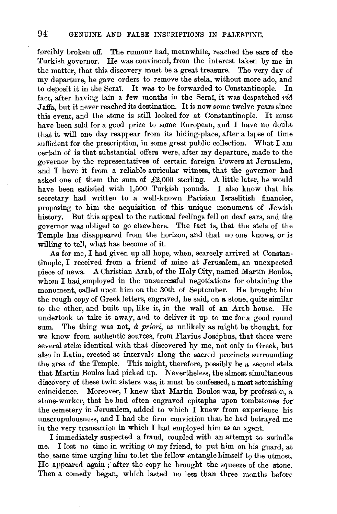forcibly broken off. The rumour had, meanwhile, reached the ears of the Turkish governor. He was convinced, from the interest taken by me in the matter, that this discovery must be a great treasure. The very day of my departure, he gave orders to remove the stela, without more ado, and to deposit it in the Sera!. It was to be forwarded to Constantinople. In fact, after having lain a few months in the Seraï, it was despatched *vid* Jaffa, but it never reached its destination. It is now some twelve years since this event, and the stone is still looked for at Constantinople. It must have been sold for a good price to some European, and I have no doubt that it will one day reappear from its hiding-place, after a lapse of time sufficient for the prescription, in some great public collection. What I am certain of is that substantial offers were, after my departure, made to the governor by the representatives of certain foreign Powers at Jerusalem, and I have it from a reliable auricular witness, that the governor had asked one of them the sum of  $\pounds2,000$  sterling. A little later, he would have been satisfied with 1,500 Turkish pounds. I also know that his secretary had written to a well-known Parisian Israelitish financier, proposing to him the acquisition of this unique monument of Jewish history. But this appeal to the national feelings fell on deaf ears, and the governor was obliged to go elsewhere. The fact is, that the stela of the Temple has disappeared from the horizon, and that no one knows, or is willing to tell, what has become of it.

As for me, I had given up all hope, when, scarcely arrived at Constantinople, I received from a friend of mine at Jerusalem, an unexpected piece of news. A Christian Arab, of the Holy City, named Martin Boulos, whom I had employed in the unsuccessful negotiations for obtaining the monument, called upon him on the 30th of September. He brought him the rough copy of Greek letters, engraved, he said, on a stone, quite similar to the other, and built up, like it, in the wall of an Arab house. He undertook to take it away, and to deliver it up to me for a good round sum. The thing was not, a *priori,* as unlikely as might be thought, for we know from authentic sources, from Flavius Josephus, that there were several stelæ identical with that discovered by me, not only in Greek, but also in Latin, erected at intervals along the sacred precincts surrounding the area of the Temple. This might, therefore, possibly be a second stela that Martin Boulos had picked up. Nevertheless, the almost simultaneous discovery of these twin sisters was, it must be confessed, a most astonishing coincidence. Moreover, I knew that Martin Boulos was, by profession, a stone-worker, that he had often engraved epitaphs upon tombstones for the cemetery in Jerusalem, added to which I knew from experience his unscrupulousness, and I had the firm conviction that he had betrayed me in the very transaction in which I had employed him as an agent.

I immediately suspected a fraud, coupled with an attempt to swindle me. I lost no time in writing to my friend, to put him on his guard, at the same time urging him to let the fellow entangle himself to the utmost. He appeared again ; after the copy he brought the squeeze of the stone. Then a comedy began, which lasted no less than three months before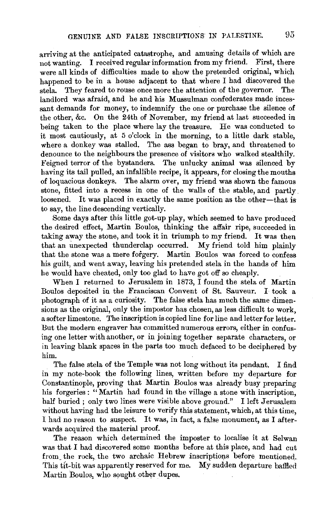arriving at the anticipated catastrophe, and amusing details of which are not wanting. I received regular information from my friend. First, there were all kinds of difficulties made to show the pretended original, which happened to be in a house adjacent to that where I had discovered the stela. They feared to rouse once more the attention of the governor. The landlord was afraid, and he and his Mussulman confederates made incessant demands for money, to indemnify the one or purchase the silence of the other, &c. On the 24th of November, my friend at last succeeded in being taken to the place where lay the treasure. He was conducted to it most cautiously, at 5 o'clock in the morning, to a little dark stable, where a donkey was stalled. The ass began to bray, and threatened to denounce to the neighbours the presence of visitors who walked stealthily. Feigned terror of the bystanders. The unlucky animal was silenced by having its tail pulled, an infallible recipe, it appears, for closing the mouths of loquacious donkeys. The alarm over, my friend was shown the famous stone, fitted into a recess in one of the walls of the stable, and partly loosened. It was placed in exactly the same position as the other-that is to say, the line descending vertically.

Some days after this little got-up play, which seemed to have produced the desired effect, Martin Boulos, thinking the affair ripe, succeeded in taking away the stone, and took it in triumph to my friend. It was then that an unexpected thunderclap occurred. My friend told him plainly that the stone was a mere forgery. Martin Boulos was forced to confess his guilt, and went away, leaving his pretended stela in the hands of him he would have cheated, only too glad to have got off so cheaply.

When I returned to Jerusalem in 1873, I found the stela of Martin Boulos deposited in the Franciscan Convent of St. Sauveur. I took a photograph of it as a curiosity. The false stela has much the same dimensions as the original, only the impostor has chosen, as less difficult to work, a softer limestone. The inscription is copied line for line and letter for letter. But the modern engraver has committed numerous errors, either in confusing one letter with another, or in joining together separate characters, or in leaving blank spaces in the parts too much defaced to be deciphered by him.

The false stela of the Temple was not long without its pendant. I find in my note-book the following lines, written before my departure for Constantinople, proving that Martin Boulos was already busy preparing his forgeries : "Martin had found in the village a stone with inscription, half buried ; only two lines were visible above ground." I left Jerusalem without having had the leisure to verify this statement, which, at this time, I had no reason to suspect. It was, in fact, a false monument, as I afterwards acquired the material proof.

The reason which determined the imposter to localise it at Selwan was that I had discovered some months before at this place, and had cut from the rock, the two archaic Hebrew inscriptions before mentioned. This tit-bit was apparently reserved for me. My sudden departure baffled Martin Boulos, who sought other dupes.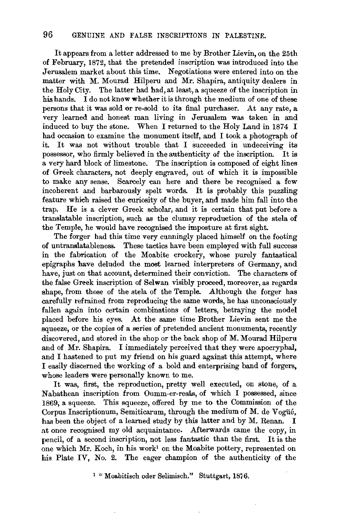It appears from a letter addressed to me by Brother Lievin, on the 25th of February, 1872, that the pretended inscription was introduced into the Jerusalem market about this time. Negotiations were entered into on the matter with M. Mourad Hilperu and Mr. Shapira, antiquity dealers in the Holy City. The latter had had, at least, a squeeze of the inscription in his hands. I do not know whether it is through the medium of one of these persons that it was sold or re-sold to its final purchaser. At any rate, a very learned and honest man living in Jerusalem was taken in and induced to buy the stone. When I returned to the Holy Land in 1874 I had occasion to examine the monument itself, and I took a photograph of it. It was not without trouble that I succeeded in undeceiving its possessor, who firmly believed in the authenticity of the inscription. It is a very hard block of limestone. The inscription is composed of eight lines of Greek characters, not deeply engraved, out of which it is impossible to make any sense. Scarcely can here and there be recognised a few incoherent and barbarously spelt words. It is probably this puzzling feature which raised the curiosity of the buyer, and made him fall into the trap. He is a clever Greek scholar, and it is certain that put before a translatable inscription, such as the clumsy reproduction of the stela of the Temple, he would have recognised the imposture at first sight.

The forger had this time very cunningly placed himself on the footing of untranslatableness. These tactics have been employed with full success in the fabrication of the Moabite crockery, whose purely fantastical epigraphs have deluded the most learned interpreters of Germany, and have, just on that account, determined their conviction. The characters of the false Greek inscription of Selwan visibly proceed, moreover, as regards shape, from those of the stela of the Temple. Although the forger has carefully refrained from reproducing the same words, he has unconsciously fallen again into certain combinations of letters, betraying the model placed before his eyes. At the same time Brother Lievin sent me the squeeze, or the copies of a series of pretended ancient monuments, recently discovered, and stored in the shop or the back shop of M. Mourad Hilperu and of Mr. Shapira. I immediately perceived that they were apocryphal, and I hastened to put my friend on his guard against this attempt, where I easily discerned the working of a bold and enterprising band of forgers, whose leaders were personally known to me.

It was, first, the reproduction, pretty well executed, on stone, of a Nabathean inscription from Oumm-er-resâs, of which I possessed, since 1869, a squeeze. This squeeze, offered by me to the Commission of the Corpus Inscriptionum, Semiticarum, through the medium of M. de Vogüé, has been the object of a learned study by this latter and by M. Renan. I at once recognised my old acquaintance. Afterwards came the copy, in pencil, of a second inscription, not less fantastic than the first. It is the one which Mr. Koch, in his work1 on the Moabite pottery, represented on his Plate IV, No. 2. The eager champion of the authenticity of the

1 "Moabitisch oder Selimisch." Stuttgart, 1876.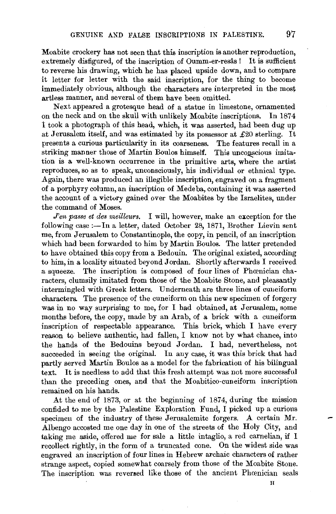Moabite crockery has not seen that this inscription is another reproduction, extremely disfigured, of the inscription of Oumm-er-resâs ! It is sufficient to reverse his drawing, which he has placed upside down, and to compare it letter for letter with the said inscription, for the thing to become immediately obvious, although the characters are interpreted in the most artless manner, and several of them have been omitted.

Next appeared a grotesque head of a statue in limestone, ornamented on the neck and on the skull with unlikely Moabite inscriptions. In 1874 1 took a photograph of this head, which, it was asserted, had been dug up at Jerusalem itself, and was estimated by its possessor at  $£20$  sterling. It presents a curious particularity in its coarseness. The features recall in a striking manner those of Martin Boulos himself. This unconscious imitation is a well-known occurrence in the primitive arts, where the artist reproduces, so as to speak, unconsciously, his individual or ethnical type. Again, there was produced an illegible inscription, engraved on a fragment of a porphyry column, an inscription of Medeba, containing it was asserted the account of a victory gained over the Moabites by the Israelites, under the command of Moses.

*J'en passe et des meilleurs.* I will, however, make an exception for the following case :- In a letter, dated October 28, 1871, Brother Lievin sent me, from Jerusalem to Constantinople, the copy, in pencil, of an inscription which had been forwarded to him by Martin Boulos. The latter pretended to have obtained this copy from a Bedouin. The original existed, according to him, in a locality situated beyond Jordan. Shortly afterwards I received a squeeze. The inscription is composed of four lines of Phœnician characters, clumsily imitated from those of the Moabite Stone, and pleasantly intermingled with Greek letters. Underneath are three lines of cuneiform characters. The presence of the cuneiform on this new specimen of forgery was in no way surprising to me, for I had obtained, at Jerusalem, some months before, the copy, made by an Arab, of a brick with a cuneiform inscription of respectable appearance. This brick, which I have every reason to believe authentic, had fallen, I know not by what chance, into the hands of the Bedouins beyond Jordan. I had, nevertheless, not succeeded in seeing the original. In any case, it was this brick that had partly served Martin Boulos as a model for the fabrication of his bilingual text. It is needless to add that this fresh attempt was not more successful than the preceding ones, and that the Moabitico-cuneiform inscription remained on his hands.

At the end of 1873, or at the beginning of 1874, during the mission confided to me by the Palestine Exploration Fund, I picked up a curious specimen of the industry of these Jerusalemite forgers. A certain Mr. Albengo accosted me one day in one of the streets of the Holy City, and taking me aside, offered me for sale a little intaglio, a red carnelian, if I recollect rightly, in the form of a truncated cone. On the widest side was engraved an inscription of four lines in Hebrew archaic characters of rather strange aspect, copied somewhat coarsely from those of the Moabite Stone. The inscription was reversed like those of the ancient Phoenician seals

H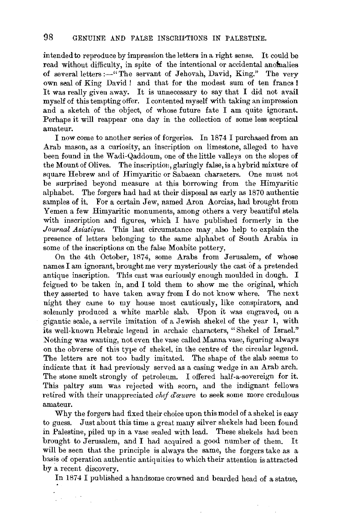in tended to reproduce by impression the letters in a right sense. It could be read without difficulty, in spite of the intentional or accidental anomalies of several letters : $-$ "The servant of Jehovah, David, King." The very own seal of King David ! and that for the modest sum of ten francs I It was really given away. It is unnecessary to say that I did not avail myself of this tempting offer. I contented myself with taking an impression and a sketch of the object, of whose future fate I am quite ignorant. Perhaps it will reappear one day in the collection of some less sceptical amateur.

I now come to another series of forgeries. In 1874 I purchased from an Arab mason, as a curiosity, an inscription on limestone, alleged to have been found in the Wadi-Qaddoum, one of the little valleys on the slopes of the Mount of Olives. The inscription, glaringly false, is a hybrid mixture of square Hebrew and of Himyaritic or Sabaean characters. One must not be surprised beyond measure at this borrowing from the Himyaritic alphabet. The forgers had had at their disposal as early as 1870 authentic samples of it. For a certain Jew, named Aron Aorcias, had brought from Yemen a few Himyaritic monuments, among others a very beautiful stela with inscription and figures, which I have published formerly in the *Journal Asiatique.* This last circumstance may. also help to explain the presence of letters belonging to the same alphabet of South Arabia in some of the inscriptions on the false Moabite pottery,

On the 4th October, 1874, some Arabs from Jerusalem, of whose names I am ignorant, brought me very mysteriously the cast of a pretended antique inscription. This cast was curiously enough moulded in dough. I feigned to be taken in, and I told them to show me the original, which they asserted to have taken away from I do not know where. The next night they came to my house most cautiously, like conspirators, and solemnly produced a white marble slab. Upon it was engraved, on a gigantic scale, a servile imitation of a Jewish shekel of the year 1, with its well-known Hebraic legend in archaic characters, "Shekel of Israel." Nothing was wanting, not even the vase called Manna vase, figuring always on the obverse of this type of shekel, in the centre of the circular legend. The letters are not too badly imitated. The shape of the slab seems to indicate that it had previously served as a casing wedge in an Arab arch. The stone smelt strongly of petroleum. I offered half-a-sovereign for it. This paltry sum was rejected with scorn, and the indignant fellows retired with their unappreciated *chef d'œuvre* to seek some more credulous amateur.

Why the forgers had fixed their choice upon this model of a shekel is easy to guess. Just about this time a great many silver shekels had been found in Palestine, piled up in a vase sealed with lead. These shekels had been brought to Jerusalem, and I had acquired a good number of them. It will be seen that the principle is always the same, the forgers take as a basis of operation authentic antiquities to which their attention is attracted by a recent discovery.

In 1874 I published a handsome crowned and bearded head of a statue,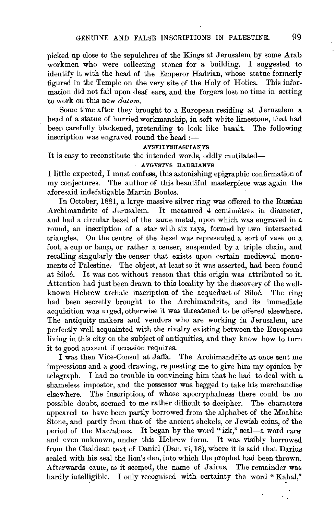picked np close to the sepulchres of the Kings at Jerusalem by some Arab workmen who were collecting stones for a building. I suggested to identify it with the head of the Emperor Hadrian, whose statue formerly figured in the Temple on the very site of the Holy of Holies. This information did not fall upon deaf ears, and the forgers lost no time in setting to work on this new *datum.* 

Some time after they brought to a European residing at Jerusalem a head of a statue of hurried workmanship, in soft white limestone, that had been carefully blackened, pretending to look like basalt. The following inscription was engraved round the head :-

## AVSVITVsHASPIANVs

It is easy to reconstitute the intended words, oddly mutilated-

## A VGVSTVS HADRIANVS

I little expected, I must confess, this astonishing epigraphic confirmation of my conjectures. The author of this beautiful masterpiece was again the aforesaid indefatigable Martin Boulos.

In October, 1881, a large massive silver ring was offered to the Russian Archimandrite of Jerusalem. It measured 4 centimetres in diameter, and had a circular bezel of the same metal, upon which was engraved in a round, an inscription of a star with six rays, formed by two intersected triangles. On the centre of the bezel was represented a sort of vase on a foot, a cup or lamp, or rather a censer, suspended by a triple chain, and recalling singularly the censer that exists upon certain mediaval monuments of Palestine. The object, at least so it was asserted, had been found at Siloe. It was not without reason that this origin was attributed to it. Attention had just been drawn to this locality by the discovery of the wellknown Hebrew archaic inscription of the acqueduct of Siloe. The ring had been secretly brought to the Archimandrite, and its immediate acquisition was urged, otherwise it was threatened to be offered elsewhere. The antiquity makers and vendors who are working in Jerusalem, are perfectly well acquainted with the rivalry existing between the Europeans living in this city on the subject of antiquities, and they know how to turn it to good account if occasion requires.

I was then Vice-Consul at Jaffa. The Archimandrite at once sent me impressions and a good drawing, requesting me to give him my opinion by telegraph. I had no trouble in convincing him that he had to deal with a shameless impostor, and the possessor was begged to take his merchandise elsewhere. The inscription, of whose apocryphalness there could be no possible doubt, seemed to me rather difficult to decipher. The characters appeared to have been partly borrowed from the alphabet of the Moabite Stone, and partly from that of the ancient shekels, or Jewish coins, of the period of the Maccabees. It began by the word "izk," seal-a word rareand even unknown, under this Hebrew form. It was visibly borrowed from the Chaldean text of Daniel (Dan. vi, 18), where it is said that Darius sealed with his seal the lion's den, into which the prophet had been thrown. Afterwards came, as it seemed, the name of Jairus. The remainder was hardly intelligible. I only recognised with certainty the word "Kahal,"